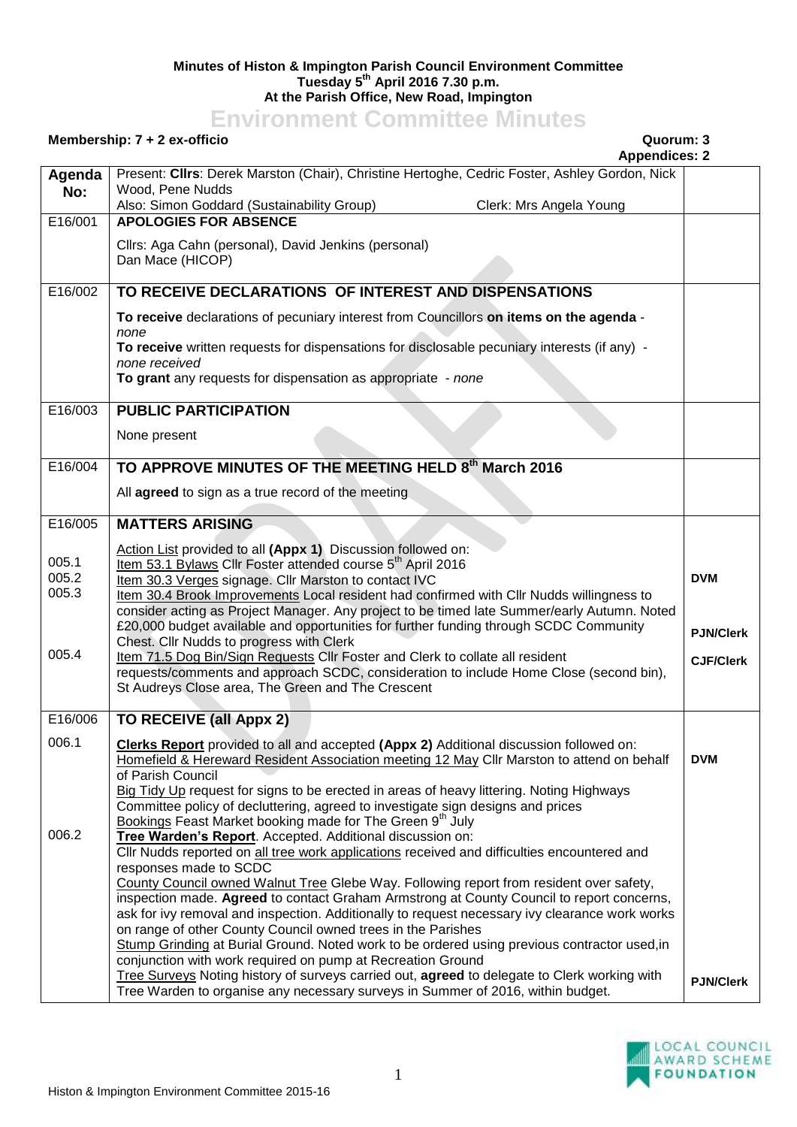## **Minutes of Histon & Impington Parish Council Environment Committee Tuesday 5 th April 2016 7.30 p.m. At the Parish Office, New Road, Impington**

## **Environment Committee Minutes**

## **Membership: 7 + 2 ex-officio Quorum: 3**

|               | <b>Appendices: 2</b>                                                                                                                                                                    |                  |
|---------------|-----------------------------------------------------------------------------------------------------------------------------------------------------------------------------------------|------------------|
| Agenda<br>No: | Present: Clirs: Derek Marston (Chair), Christine Hertoghe, Cedric Foster, Ashley Gordon, Nick<br>Wood, Pene Nudds                                                                       |                  |
| E16/001       | Clerk: Mrs Angela Young<br>Also: Simon Goddard (Sustainability Group)<br><b>APOLOGIES FOR ABSENCE</b>                                                                                   |                  |
|               |                                                                                                                                                                                         |                  |
|               | Cllrs: Aga Cahn (personal), David Jenkins (personal)                                                                                                                                    |                  |
|               | Dan Mace (HICOP)                                                                                                                                                                        |                  |
| E16/002       | TO RECEIVE DECLARATIONS OF INTEREST AND DISPENSATIONS                                                                                                                                   |                  |
|               | To receive declarations of pecuniary interest from Councillors on items on the agenda -                                                                                                 |                  |
|               | none                                                                                                                                                                                    |                  |
|               | To receive written requests for dispensations for disclosable pecuniary interests (if any) -<br>none received                                                                           |                  |
|               | To grant any requests for dispensation as appropriate - none                                                                                                                            |                  |
|               |                                                                                                                                                                                         |                  |
| E16/003       | <b>PUBLIC PARTICIPATION</b>                                                                                                                                                             |                  |
|               | None present                                                                                                                                                                            |                  |
| E16/004       | TO APPROVE MINUTES OF THE MEETING HELD 8th March 2016                                                                                                                                   |                  |
|               |                                                                                                                                                                                         |                  |
|               | All agreed to sign as a true record of the meeting                                                                                                                                      |                  |
| E16/005       | <b>MATTERS ARISING</b>                                                                                                                                                                  |                  |
|               | Action List provided to all (Appx 1) Discussion followed on:                                                                                                                            |                  |
| 005.1         | Item 53.1 Bylaws Cllr Foster attended course 5 <sup>th</sup> April 2016                                                                                                                 |                  |
| 005.2         | Item 30.3 Verges signage. Cllr Marston to contact IVC                                                                                                                                   | <b>DVM</b>       |
| 005.3         | Item 30.4 Brook Improvements Local resident had confirmed with Cllr Nudds willingness to<br>consider acting as Project Manager. Any project to be timed late Summer/early Autumn. Noted |                  |
|               | £20,000 budget available and opportunities for further funding through SCDC Community                                                                                                   |                  |
|               | Chest. Cllr Nudds to progress with Clerk                                                                                                                                                | <b>PJN/Clerk</b> |
| 005.4         | Item 71.5 Dog Bin/Sign Requests Cllr Foster and Clerk to collate all resident                                                                                                           | <b>CJF/Clerk</b> |
|               | requests/comments and approach SCDC, consideration to include Home Close (second bin),<br>St Audreys Close area, The Green and The Crescent                                             |                  |
|               |                                                                                                                                                                                         |                  |
| E16/006       | <b>TO RECEIVE (all Appx 2)</b>                                                                                                                                                          |                  |
| 006.1         | Clerks Report provided to all and accepted (Appx 2) Additional discussion followed on:                                                                                                  |                  |
|               | Homefield & Hereward Resident Association meeting 12 May Cllr Marston to attend on behalf                                                                                               | <b>DVM</b>       |
|               | of Parish Council<br>Big Tidy Up request for signs to be erected in areas of heavy littering. Noting Highways                                                                           |                  |
|               | Committee policy of decluttering, agreed to investigate sign designs and prices                                                                                                         |                  |
|               | Bookings Feast Market booking made for The Green 9th July                                                                                                                               |                  |
| 006.2         | Tree Warden's Report. Accepted. Additional discussion on:                                                                                                                               |                  |
|               | CIIr Nudds reported on all tree work applications received and difficulties encountered and<br>responses made to SCDC                                                                   |                  |
|               | County Council owned Walnut Tree Glebe Way. Following report from resident over safety,                                                                                                 |                  |
|               | inspection made. Agreed to contact Graham Armstrong at County Council to report concerns,                                                                                               |                  |
|               | ask for ivy removal and inspection. Additionally to request necessary ivy clearance work works                                                                                          |                  |
|               | on range of other County Council owned trees in the Parishes                                                                                                                            |                  |
|               | Stump Grinding at Burial Ground. Noted work to be ordered using previous contractor used, in<br>conjunction with work required on pump at Recreation Ground                             |                  |
|               | Tree Surveys Noting history of surveys carried out, agreed to delegate to Clerk working with                                                                                            | <b>PJN/Clerk</b> |
|               | Tree Warden to organise any necessary surveys in Summer of 2016, within budget.                                                                                                         |                  |

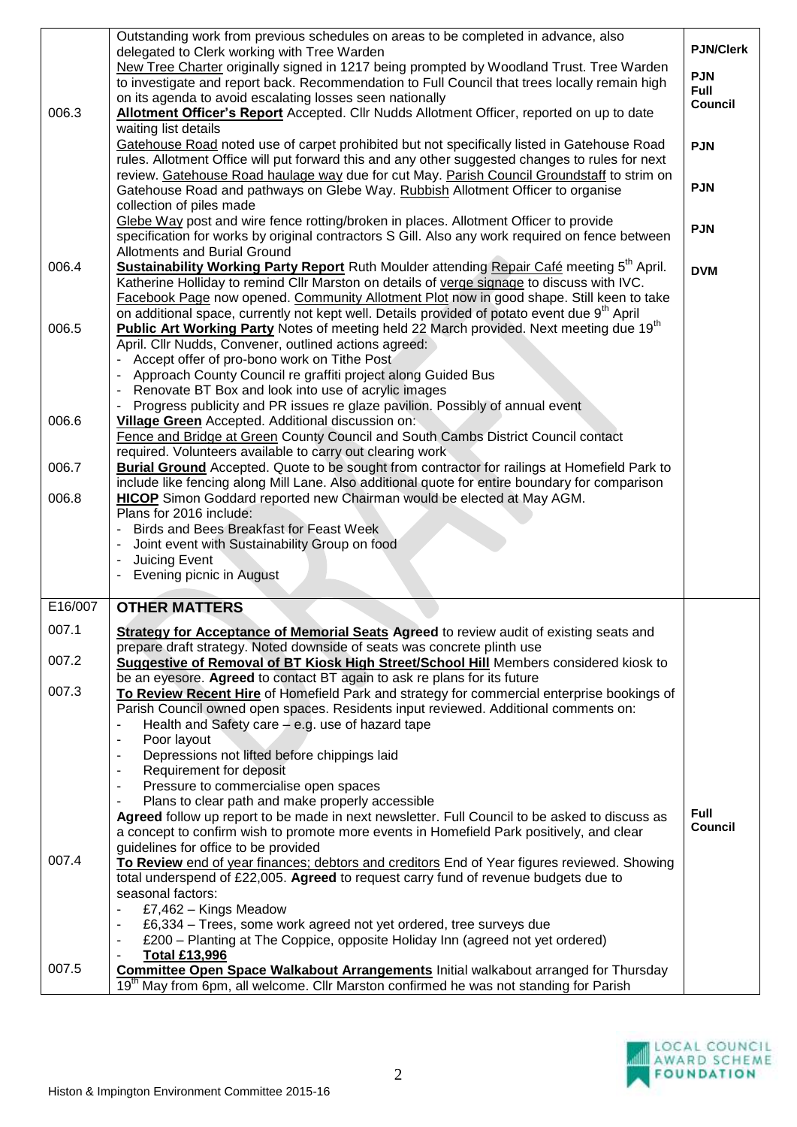| 006.3          | Outstanding work from previous schedules on areas to be completed in advance, also<br>delegated to Clerk working with Tree Warden<br>New Tree Charter originally signed in 1217 being prompted by Woodland Trust. Tree Warden<br>to investigate and report back. Recommendation to Full Council that trees locally remain high<br>on its agenda to avoid escalating losses seen nationally<br>Allotment Officer's Report Accepted. Cllr Nudds Allotment Officer, reported on up to date<br>waiting list details<br>Gatehouse Road noted use of carpet prohibited but not specifically listed in Gatehouse Road | <b>PJN/Clerk</b><br><b>PJN</b><br><b>Full</b><br><b>Council</b><br><b>PJN</b> |
|----------------|----------------------------------------------------------------------------------------------------------------------------------------------------------------------------------------------------------------------------------------------------------------------------------------------------------------------------------------------------------------------------------------------------------------------------------------------------------------------------------------------------------------------------------------------------------------------------------------------------------------|-------------------------------------------------------------------------------|
|                | rules. Allotment Office will put forward this and any other suggested changes to rules for next<br>review. Gatehouse Road haulage way due for cut May. Parish Council Groundstaff to strim on<br>Gatehouse Road and pathways on Glebe Way. Rubbish Allotment Officer to organise<br>collection of piles made                                                                                                                                                                                                                                                                                                   | <b>PJN</b>                                                                    |
|                | Glebe Way post and wire fence rotting/broken in places. Allotment Officer to provide<br>specification for works by original contractors S Gill. Also any work required on fence between<br><b>Allotments and Burial Ground</b>                                                                                                                                                                                                                                                                                                                                                                                 | <b>PJN</b>                                                                    |
| 006.4          | Sustainability Working Party Report Ruth Moulder attending Repair Café meeting 5 <sup>th</sup> April.<br>Katherine Holliday to remind Cllr Marston on details of verge signage to discuss with IVC.<br>Facebook Page now opened. Community Allotment Plot now in good shape. Still keen to take<br>on additional space, currently not kept well. Details provided of potato event due 9 <sup>th</sup> April                                                                                                                                                                                                    | <b>DVM</b>                                                                    |
| 006.5          | Public Art Working Party Notes of meeting held 22 March provided. Next meeting due 19 <sup>th</sup><br>April. Cllr Nudds, Convener, outlined actions agreed:<br>- Accept offer of pro-bono work on Tithe Post<br>Approach County Council re graffiti project along Guided Bus<br>Renovate BT Box and look into use of acrylic images<br>Progress publicity and PR issues re glaze pavilion. Possibly of annual event                                                                                                                                                                                           |                                                                               |
| 006.6          | Village Green Accepted. Additional discussion on:<br>Fence and Bridge at Green County Council and South Cambs District Council contact<br>required. Volunteers available to carry out clearing work                                                                                                                                                                                                                                                                                                                                                                                                            |                                                                               |
| 006.7          | <b>Burial Ground</b> Accepted. Quote to be sought from contractor for railings at Homefield Park to<br>include like fencing along Mill Lane. Also additional quote for entire boundary for comparison                                                                                                                                                                                                                                                                                                                                                                                                          |                                                                               |
| 006.8          | HICOP Simon Goddard reported new Chairman would be elected at May AGM.<br>Plans for 2016 include:<br>Birds and Bees Breakfast for Feast Week<br>Joint event with Sustainability Group on food<br>Juicing Event                                                                                                                                                                                                                                                                                                                                                                                                 |                                                                               |
|                | Evening picnic in August                                                                                                                                                                                                                                                                                                                                                                                                                                                                                                                                                                                       |                                                                               |
| E16/007        | <b>OTHER MATTERS</b>                                                                                                                                                                                                                                                                                                                                                                                                                                                                                                                                                                                           |                                                                               |
| 007.1          | <b>Strategy for Acceptance of Memorial Seats Agreed to review audit of existing seats and</b>                                                                                                                                                                                                                                                                                                                                                                                                                                                                                                                  |                                                                               |
| 007.2          | prepare draft strategy. Noted downside of seats was concrete plinth use<br><b>Suggestive of Removal of BT Kiosk High Street/School Hill</b> Members considered kiosk to                                                                                                                                                                                                                                                                                                                                                                                                                                        |                                                                               |
| 007.3          | be an eyesore. Agreed to contact BT again to ask re plans for its future<br>To Review Recent Hire of Homefield Park and strategy for commercial enterprise bookings of<br>Parish Council owned open spaces. Residents input reviewed. Additional comments on:<br>Health and Safety care $-$ e.g. use of hazard tape<br>Poor layout<br>$\blacksquare$<br>٠                                                                                                                                                                                                                                                      |                                                                               |
|                | Depressions not lifted before chippings laid<br>Requirement for deposit<br>٠<br>Pressure to commercialise open spaces<br>$\overline{a}$<br>Plans to clear path and make properly accessible<br>$\blacksquare$<br>Agreed follow up report to be made in next newsletter. Full Council to be asked to discuss as<br>a concept to confirm wish to promote more events in Homefield Park positively, and clear                                                                                                                                                                                                     | <b>Full</b><br><b>Council</b>                                                 |
| 007.4<br>007.5 | guidelines for office to be provided<br>To Review end of year finances; debtors and creditors End of Year figures reviewed. Showing<br>total underspend of £22,005. Agreed to request carry fund of revenue budgets due to<br>seasonal factors:<br>£7,462 - Kings Meadow<br>£6,334 – Trees, some work agreed not yet ordered, tree surveys due<br>$\overline{\phantom{a}}$<br>£200 – Planting at The Coppice, opposite Holiday Inn (agreed not yet ordered)<br><b>Total £13,996</b>                                                                                                                            |                                                                               |